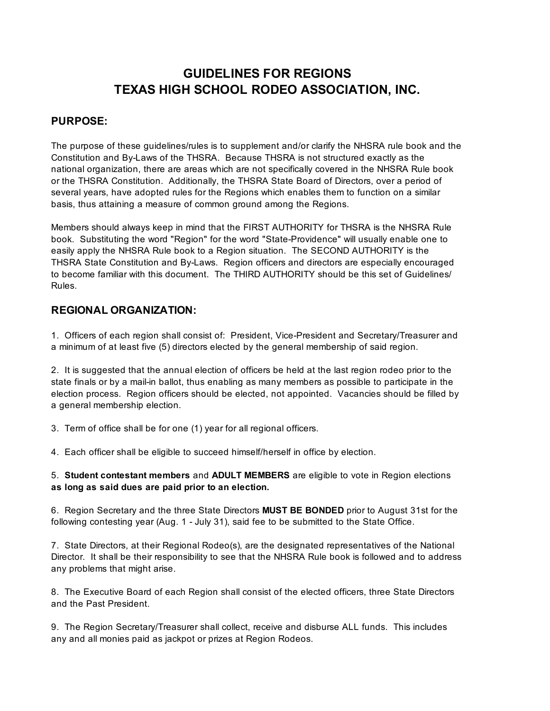# **GUIDELINES FOR REGIONS TEXAS HIGH SCHOOL RODEO ASSOCIATION, INC.**

## **PURPOSE:**

The purpose of these guidelines/rules is to supplement and/or clarify the NHSRA rule book and the Constitution and By-Laws of the THSRA. Because THSRA is not structured exactly as the national organization, there are areas which are not specifically covered in the NHSRA Rule book or the THSRA Constitution. Additionally, the THSRA State Board of Directors, over a period of several years, have adopted rules for the Regions which enables them to function on a similar basis, thus attaining a measure of common ground among the Regions.

Members should always keep in mind that the FIRST AUTHORITY for THSRA is the NHSRA Rule book. Substituting the word "Region" for the word "State-Providence" will usually enable one to easily apply the NHSRA Rule book to a Region situation. The SECOND AUTHORITY is the THSRA State Constitution and By-Laws. Region officers and directors are especially encouraged to become familiar with this document. The THIRD AUTHORITY should be this set of Guidelines/ Rules.

## **REGIONAL ORGANIZATION:**

1. Officers of each region shall consist of: President, Vice-President and Secretary/Treasurer and a minimum of at least five (5) directors elected by the general membership of said region.

2. It is suggested that the annual election of officers be held at the last region rodeo prior to the state finals or by a mail-in ballot, thus enabling as many members as possible to participate in the election process. Region officers should be elected, not appointed. Vacancies should be filled by a general membership election.

3. Term of office shall be for one (1) year for all regional officers.

4. Each officer shall be eligible to succeed himself/herself in office by election.

5. **Student contestant members** and **ADULT MEMBERS** are eligible to vote in Region elections **as long as said dues are paid prior to an election.**

6. Region Secretary and the three State Directors **MUST BE BONDED** prior to August 31st for the following contesting year (Aug. 1 - July 31), said fee to be submitted to the State Office.

7. State Directors, at their Regional Rodeo(s), are the designated representatives of the National Director. It shall be their responsibility to see that the NHSRA Rule book is followed and to address any problems that might arise.

8. The Executive Board of each Region shall consist of the elected officers, three State Directors and the Past President.

9. The Region Secretary/Treasurer shall collect, receive and disburse ALL funds. This includes any and all monies paid as jackpot or prizes at Region Rodeos.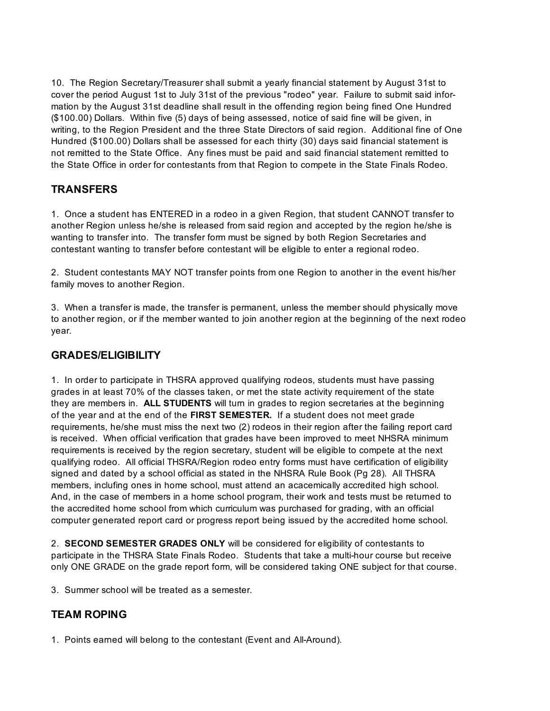10. The Region Secretary/Treasurer shall submit a yearly financial statement by August 31st to cover the period August 1st to July 31st of the previous "rodeo" year. Failure to submit said information by the August 31st deadline shall result in the offending region being fined One Hundred (\$100.00) Dollars. Within five (5) days of being assessed, notice of said fine will be given, in writing, to the Region President and the three State Directors of said region. Additional fine of One Hundred (\$100.00) Dollars shall be assessed for each thirty (30) days said financial statement is not remitted to the State Office. Any fines must be paid and said financial statement remitted to the State Office in order for contestants from that Region to compete in the State Finals Rodeo.

# **TRANSFERS**

1. Once a student has ENTERED in a rodeo in a given Region, that student CANNOT transfer to another Region unless he/she is released from said region and accepted by the region he/she is wanting to transfer into. The transfer form must be signed by both Region Secretaries and contestant wanting to transfer before contestant will be eligible to enter a regional rodeo.

2. Student contestants MAY NOT transfer points from one Region to another in the event his/her family moves to another Region.

3. When a transfer is made, the transfer is permanent, unless the member should physically move to another region, or if the member wanted to join another region at the beginning of the next rodeo year.

## **GRADES/ELIGIBILITY**

1. In order to participate in THSRA approved qualifying rodeos, students must have passing grades in at least 70% of the classes taken, or met the state activity requirement of the state they are members in. **ALL STUDENTS** will turn in grades to region secretaries at the beginning of the year and at the end of the **FIRST SEMESTER.** If a student does not meet grade requirements, he/she must miss the next two (2) rodeos in their region after the failing report card is received. When official verification that grades have been improved to meet NHSRA minimum requirements is received by the region secretary, student will be eligible to compete at the next qualifying rodeo. All official THSRA/Region rodeo entry forms must have certification of eligibility signed and dated by a school official as stated in the NHSRA Rule Book (Pg 28). All THSRA members, inclufing ones in home school, must attend an acacemically accredited high school. And, in the case of members in a home school program, their work and tests must be returned to the accredited home school from which curriculum was purchased for grading, with an official computer generated report card or progress report being issued by the accredited home school.

2. **SECOND SEMESTER GRADES ONLY** will be considered for eligibility of contestants to participate in the THSRA State Finals Rodeo. Students that take a multi-hour course but receive only ONE GRADE on the grade report form, will be considered taking ONE subject for that course.

3. Summer school will be treated as a semester.

# **TEAM ROPING**

1. Points earned will belong to the contestant (Event and All-Around).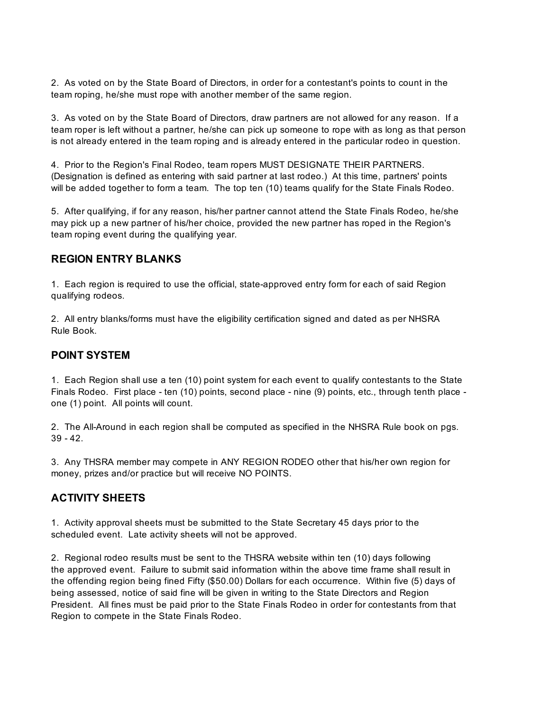2. As voted on by the State Board of Directors, in order for a contestant's points to count in the team roping, he/she must rope with another member of the same region.

3. As voted on by the State Board of Directors, draw partners are not allowed for any reason. If a team roper is left without a partner, he/she can pick up someone to rope with as long as that person is not already entered in the team roping and is already entered in the particular rodeo in question.

4. Prior to the Region's Final Rodeo, team ropers MUST DESIGNATE THEIR PARTNERS. (Designation is defined as entering with said partner at last rodeo.) At this time, partners' points will be added together to form a team. The top ten (10) teams qualify for the State Finals Rodeo.

5. After qualifying, if for any reason, his/her partner cannot attend the State Finals Rodeo, he/she may pick up a new partner of his/her choice, provided the new partner has roped in the Region's team roping event during the qualifying year.

#### **REGION ENTRY BLANKS**

1. Each region is required to use the official, state-approved entry form for each of said Region qualifying rodeos.

2. All entry blanks/forms must have the eligibility certification signed and dated as per NHSRA Rule Book.

#### **POINT SYSTEM**

1. Each Region shall use a ten (10) point system for each event to qualify contestants to the State Finals Rodeo. First place - ten (10) points, second place - nine (9) points, etc., through tenth place one (1) point. All points will count.

2. The All-Around in each region shall be computed as specified in the NHSRA Rule book on pgs. 39 - 42.

3. Any THSRA member may compete in ANY REGION RODEO other that his/her own region for money, prizes and/or practice but will receive NO POINTS.

# **ACTIVITY SHEETS**

1. Activity approval sheets must be submitted to the State Secretary 45 days prior to the scheduled event. Late activity sheets will not be approved.

2. Regional rodeo results must be sent to the THSRA website within ten (10) days following the approved event. Failure to submit said information within the above time frame shall result in the offending region being fined Fifty (\$50.00) Dollars for each occurrence. Within five (5) days of being assessed, notice of said fine will be given in writing to the State Directors and Region President. All fines must be paid prior to the State Finals Rodeo in order for contestants from that Region to compete in the State Finals Rodeo.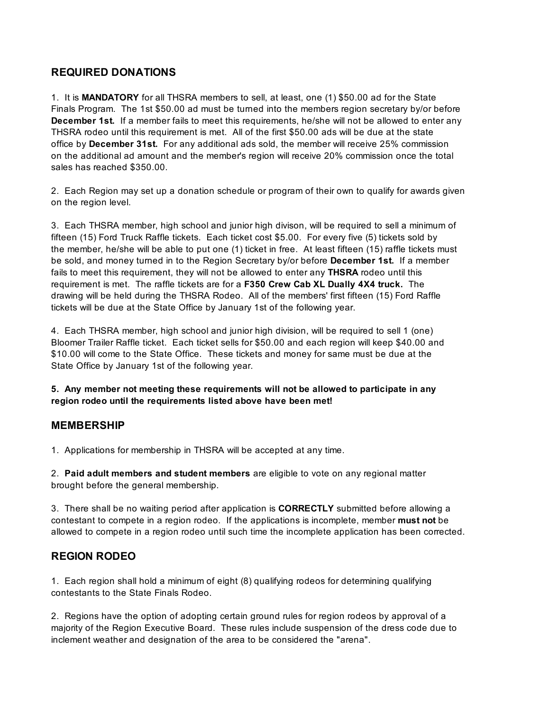#### **REQUIRED DONATIONS**

1. It is **MANDATORY** for all THSRA members to sell, at least, one (1) \$50.00 ad for the State Finals Program. The 1st \$50.00 ad must be turned into the members region secretary by/or before **December 1st.** If a member fails to meet this requirements, he/she will not be allowed to enter any THSRA rodeo until this requirement is met. All of the first \$50.00 ads will be due at the state office by **December 31st.** For any additional ads sold, the member will receive 25% commission on the additional ad amount and the member's region will receive 20% commission once the total sales has reached \$350.00.

2. Each Region may set up a donation schedule or program of their own to qualify for awards given on the region level.

3. Each THSRA member, high school and junior high divison, will be required to sell a minimum of fifteen (15) Ford Truck Raffle tickets. Each ticket cost \$5.00. For every five (5) tickets sold by the member, he/she will be able to put one (1) ticket in free. At least fifteen (15) raffle tickets must be sold, and money turned in to the Region Secretary by/or before **December 1st.** If a member fails to meet this requirement, they will not be allowed to enter any **THSRA** rodeo until this requirement is met. The raffle tickets are for a **F350 Crew Cab XL Dually 4X4 truck.** The drawing will be held during the THSRA Rodeo. All of the members' first fifteen (15) Ford Raffle tickets will be due at the State Office by January 1st of the following year.

4. Each THSRA member, high school and junior high division, will be required to sell 1 (one) Bloomer Trailer Raffle ticket. Each ticket sells for \$50.00 and each region will keep \$40.00 and \$10.00 will come to the State Office. These tickets and money for same must be due at the State Office by January 1st of the following year.

**5. Any member not meeting these requirements will not be allowed to participate in any region rodeo until the requirements listed above have been met!**

#### **MEMBERSHIP**

1. Applications for membership in THSRA will be accepted at any time.

2. **Paid adult members and student members** are eligible to vote on any regional matter brought before the general membership.

3. There shall be no waiting period after application is **CORRECTLY** submitted before allowing a contestant to compete in a region rodeo. If the applications is incomplete, member **must not** be allowed to compete in a region rodeo until such time the incomplete application has been corrected.

#### **REGION RODEO**

1. Each region shall hold a minimum of eight (8) qualifying rodeos for determining qualifying contestants to the State Finals Rodeo.

2. Regions have the option of adopting certain ground rules for region rodeos by approval of a majority of the Region Executive Board. These rules include suspension of the dress code due to inclement weather and designation of the area to be considered the "arena".